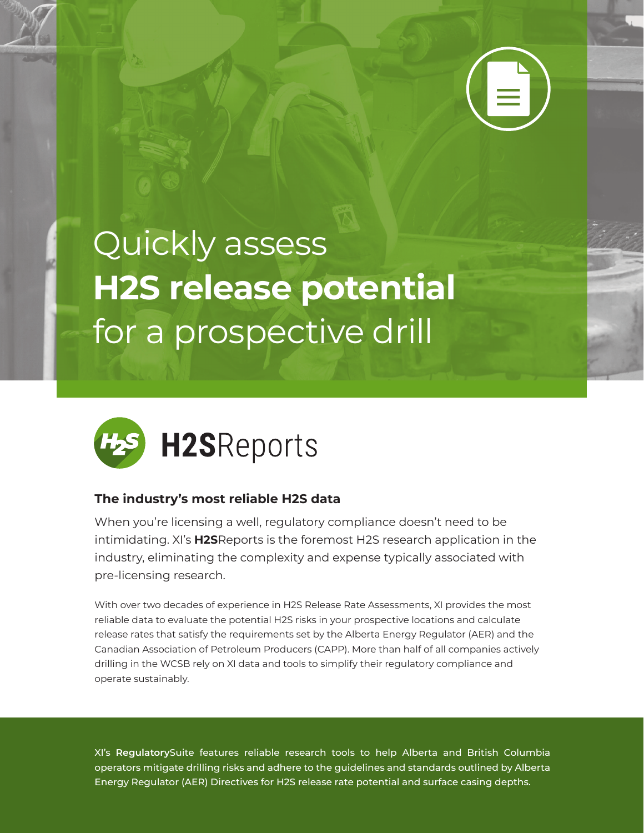

## Quickly assess **H2S release potential** for a prospective drill



## **The industry's most reliable H2S data**

When you're licensing a well, regulatory compliance doesn't need to be intimidating. XI's **H2S**Reports is the foremost H2S research application in the industry, eliminating the complexity and expense typically associated with pre-licensing research.

With over two decades of experience in H2S Release Rate Assessments, XI provides the most reliable data to evaluate the potential H2S risks in your prospective locations and calculate release rates that satisfy the requirements set by the Alberta Energy Regulator (AER) and the Canadian Association of Petroleum Producers (CAPP). More than half of all companies actively drilling in the WCSB rely on XI data and tools to simplify their regulatory compliance and operate sustainably.

XI's **Regulatory**Suite features reliable research tools to help Alberta and British Columbia operators mitigate drilling risks and adhere to the guidelines and standards outlined by Alberta Energy Regulator (AER) Directives for H2S release rate potential and surface casing depths.